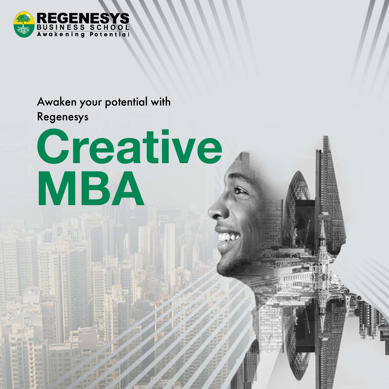

## Awaken your potential with

Regenesys

# **Creative MBA**